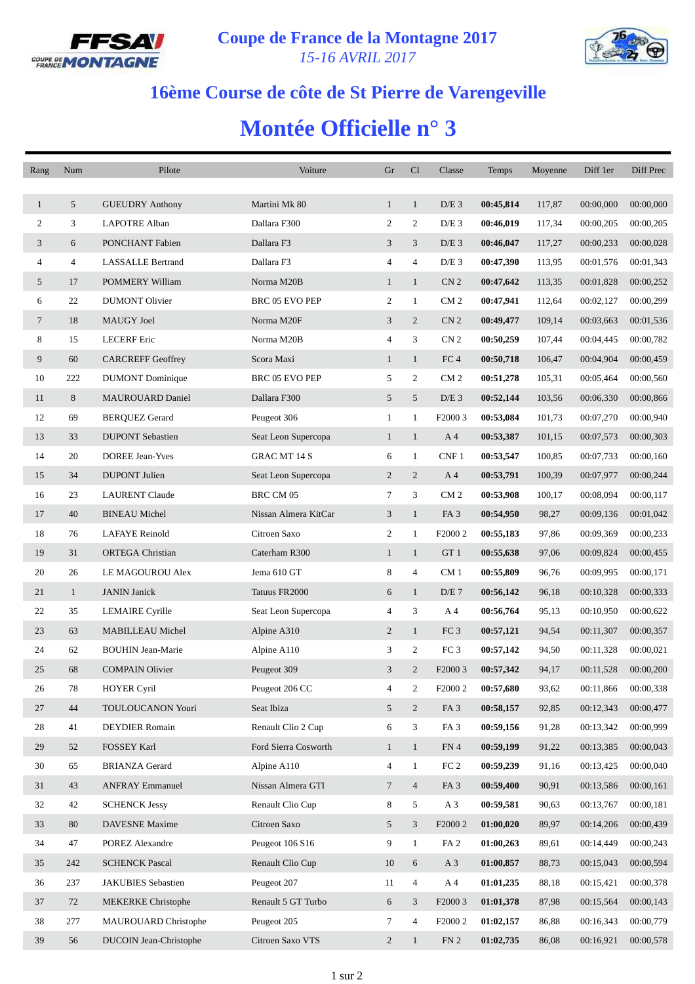



## **16ème Course de côte de St Pierre de Varengeville**

## **Montée Officielle n° 3**

| Rang           | Num            | Pilote                    | Voiture              | Gr             | Cl             | Classe              | Temps     | Moyenne | Diff 1er  | Diff Prec |
|----------------|----------------|---------------------------|----------------------|----------------|----------------|---------------------|-----------|---------|-----------|-----------|
|                |                |                           |                      |                |                |                     |           |         |           |           |
| $\mathbf{1}$   | 5              | <b>GUEUDRY Anthony</b>    | Martini Mk 80        | $\mathbf{1}$   | $\mathbf{1}$   | $D/E$ 3             | 00:45,814 | 117,87  | 00:00,000 | 00:00,000 |
| $\overline{c}$ | 3              | <b>LAPOTRE Alban</b>      | Dallara F300         | $\overline{c}$ | 2              | $D/E$ 3             | 00:46,019 | 117,34  | 00:00,205 | 00:00,205 |
| 3              | 6              | PONCHANT Fabien           | Dallara F3           | 3              | 3              | $D/E$ 3             | 00:46,047 | 117,27  | 00:00,233 | 00:00,028 |
| 4              | $\overline{4}$ | <b>LASSALLE Bertrand</b>  | Dallara F3           | 4              | 4              | $D/E$ 3             | 00:47,390 | 113,95  | 00:01,576 | 00:01,343 |
| 5              | 17             | POMMERY William           | Norma M20B           | $\mathbf{1}$   | $\mathbf{1}$   | CN <sub>2</sub>     | 00:47,642 | 113,35  | 00:01,828 | 00:00,252 |
| 6              | 22             | <b>DUMONT Olivier</b>     | BRC 05 EVO PEP       | 2              | $\mathbf{1}$   | CM <sub>2</sub>     | 00:47,941 | 112,64  | 00:02,127 | 00:00,299 |
| $\tau$         | 18             | MAUGY Joel                | Norma M20F           | 3              | 2              | CN <sub>2</sub>     | 00:49,477 | 109,14  | 00:03,663 | 00:01,536 |
| 8              | 15             | <b>LECERF</b> Eric        | Norma M20B           | 4              | 3              | CN <sub>2</sub>     | 00:50,259 | 107,44  | 00:04,445 | 00:00,782 |
| 9              | 60             | <b>CARCREFF Geoffrey</b>  | Scora Maxi           | $\mathbf{1}$   | $\mathbf{1}$   | FC <sub>4</sub>     | 00:50,718 | 106,47  | 00:04,904 | 00:00,459 |
| 10             | 222            | <b>DUMONT</b> Dominique   | BRC 05 EVO PEP       | 5              | 2              | CM <sub>2</sub>     | 00:51,278 | 105,31  | 00:05,464 | 00:00,560 |
| 11             | 8              | <b>MAUROUARD Daniel</b>   | Dallara F300         | 5              | 5              | $D/E$ 3             | 00:52,144 | 103,56  | 00:06,330 | 00:00,866 |
| 12             | 69             | <b>BERQUEZ Gerard</b>     | Peugeot 306          | $\mathbf{1}$   | $\mathbf{1}$   | F <sub>2000</sub> 3 | 00:53,084 | 101,73  | 00:07,270 | 00:00,940 |
| 13             | 33             | <b>DUPONT</b> Sebastien   | Seat Leon Supercopa  | $\mathbf{1}$   | $\mathbf{1}$   | A 4                 | 00:53,387 | 101,15  | 00:07,573 | 00:00,303 |
| 14             | 20             | <b>DOREE Jean-Yves</b>    | <b>GRAC MT 14 S</b>  | 6              | $\mathbf{1}$   | CNF 1               | 00:53,547 | 100,85  | 00:07,733 | 00:00,160 |
| 15             | 34             | <b>DUPONT</b> Julien      | Seat Leon Supercopa  | $\overline{c}$ | $\overline{2}$ | A 4                 | 00:53,791 | 100,39  | 00:07,977 | 00:00,244 |
| 16             | 23             | <b>LAURENT Claude</b>     | BRC CM 05            | $\tau$         | 3              | CM <sub>2</sub>     | 00:53,908 | 100,17  | 00:08,094 | 00:00,117 |
| 17             | 40             | <b>BINEAU Michel</b>      | Nissan Almera KitCar | 3              | $\mathbf{1}$   | FA <sub>3</sub>     | 00:54,950 | 98,27   | 00:09,136 | 00:01,042 |
| 18             | 76             | <b>LAFAYE</b> Reinold     | Citroen Saxo         | 2              | $\mathbf{1}$   | F2000 2             | 00:55,183 | 97,86   | 00:09,369 | 00:00,233 |
| 19             | 31             | <b>ORTEGA Christian</b>   | Caterham R300        | $\mathbf{1}$   | $\mathbf{1}$   | GT 1                | 00:55,638 | 97,06   | 00:09,824 | 00:00,455 |
| 20             | 26             | LE MAGOUROU Alex          | Jema 610 GT          | 8              | 4              | CM <sub>1</sub>     | 00:55,809 | 96,76   | 00:09,995 | 00:00,171 |
| 21             | $\mathbf{1}$   | <b>JANIN</b> Janick       | Tatuus FR2000        | 6              | $\mathbf{1}$   | D/E 7               | 00:56,142 | 96,18   | 00:10,328 | 00:00,333 |
| 22             | 35             | <b>LEMAIRE</b> Cyrille    | Seat Leon Supercopa  | 4              | 3              | A 4                 | 00:56,764 | 95,13   | 00:10,950 | 00:00,622 |
| 23             | 63             | <b>MABILLEAU Michel</b>   | Alpine A310          | $\overline{c}$ | $\mathbf{1}$   | FC <sub>3</sub>     | 00:57,121 | 94,54   | 00:11,307 | 00:00,357 |
| 24             | 62             | <b>BOUHIN Jean-Marie</b>  | Alpine A110          | 3              | 2              | FC <sub>3</sub>     | 00:57,142 | 94,50   | 00:11,328 | 00:00,021 |
| 25             | 68             | <b>COMPAIN Olivier</b>    | Peugeot 309          | 3              | $\overline{2}$ | F <sub>2000</sub> 3 | 00:57,342 | 94,17   | 00:11,528 | 00:00,200 |
| 26             | 78             | <b>HOYER Cyril</b>        | Peugeot 206 CC       | 4              | 2              | F <sub>2000</sub> 2 | 00:57,680 | 93,62   | 00:11,866 | 00:00,338 |
| 27             | 44             | TOULOUCANON Youri         | Seat Ibiza           | 5              | $\overline{2}$ | FA <sub>3</sub>     | 00:58,157 | 92,85   | 00:12,343 | 00:00,477 |
| 28             | 41             | <b>DEYDIER</b> Romain     | Renault Clio 2 Cup   | 6              | 3              | FA <sub>3</sub>     | 00:59,156 | 91,28   | 00:13,342 | 00:00,999 |
| 29             | 52             | FOSSEY Karl               | Ford Sierra Cosworth | $\mathbf{1}$   | $\mathbf{1}$   | FN 4                | 00:59,199 | 91,22   | 00:13,385 | 00:00,043 |
| 30             | 65             | <b>BRIANZA Gerard</b>     | Alpine A110          | 4              | $\mathbf{1}$   | FC <sub>2</sub>     | 00:59,239 | 91,16   | 00:13,425 | 00:00,040 |
| 31             | 43             | <b>ANFRAY Emmanuel</b>    | Nissan Almera GTI    | 7              | $\overline{4}$ | FA <sub>3</sub>     | 00:59,400 | 90,91   | 00:13,586 | 00:00,161 |
| 32             | 42             | <b>SCHENCK Jessy</b>      | Renault Clio Cup     | 8              | 5              | A <sub>3</sub>      | 00:59,581 | 90,63   | 00:13,767 | 00:00,181 |
| 33             | 80             | DAVESNE Maxime            | Citroen Saxo         | 5              | 3              | F2000 2             | 01:00,020 | 89,97   | 00:14,206 | 00:00,439 |
| 34             | 47             | POREZ Alexandre           | Peugeot 106 S16      | 9              | $\mathbf{1}$   | FA <sub>2</sub>     | 01:00,263 | 89,61   | 00:14,449 | 00:00,243 |
| 35             | 242            | <b>SCHENCK Pascal</b>     | Renault Clio Cup     | 10             | 6              | $A_3$               | 01:00,857 | 88,73   | 00:15,043 | 00:00,594 |
| 36             | 237            | JAKUBIES Sebastien        | Peugeot 207          | 11             | $\overline{4}$ | A 4                 | 01:01,235 | 88,18   | 00:15,421 | 00:00,378 |
| 37             | 72             | <b>MEKERKE</b> Christophe | Renault 5 GT Turbo   | 6              | 3              | F <sub>2000</sub> 3 | 01:01,378 | 87,98   | 00:15,564 | 00:00,143 |
| 38             | 277            | MAUROUARD Christophe      | Peugeot 205          | 7              | 4              | F <sub>2000</sub> 2 | 01:02,157 | 86,88   | 00:16,343 | 00:00,779 |
| 39             | 56             | DUCOIN Jean-Christophe    | Citroen Saxo VTS     | $\overline{c}$ | $\mathbf{1}$   | FN <sub>2</sub>     | 01:02,735 | 86,08   | 00:16,921 | 00:00,578 |